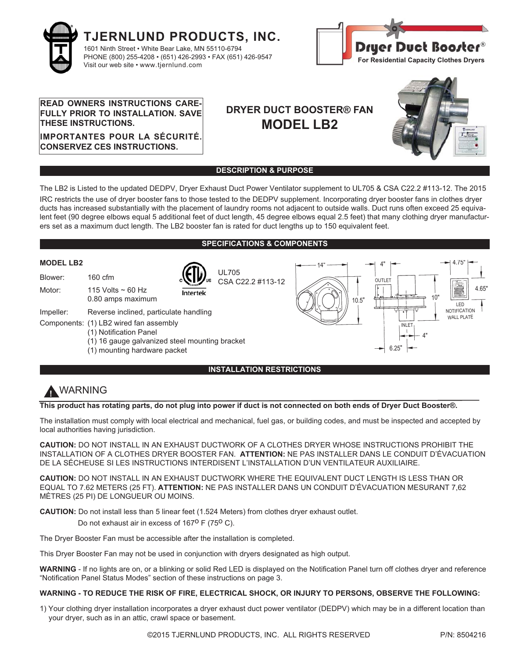



### **READ OWNERS INSTRUCTIONS CARE-FULLY PRIOR TO INSTALLATION. SAVE THESE INSTRUCTIONS.**

**IMPORTANTES POUR LA SÉCURITÉ. CONSERVEZ CES INSTRUCTIONS.**

# **DRYER DUCT BOOSTER® FAN MODEL LB2**



### **DESCRIPTION & PURPOSE**

The LB2 is Listed to the updated DEDPV, Dryer Exhaust Duct Power Ventilator supplement to UL705 & CSA C22.2 #113-12. The 2015 IRC restricts the use of dryer booster fans to those tested to the DEDPV supplement. Incorporating dryer booster fans in clothes dryer ducts has increased substantially with the placement of laundry rooms not adjacent to outside walls. Duct runs often exceed 25 equivalent feet (90 degree elbows equal 5 additional feet of duct length, 45 degree elbows equal 2.5 feet) that many clothing dryer manufacturers set as a maximum duct length. The LB2 booster fan is rated for duct lengths up to 150 equivalent feet.

### **SPECIFICATIONS & COMPONENTS**



# **!** WARNING

**This product has rotating parts, do not plug into power if duct is not connected on both ends of Dryer Duct Booster®.**

The installation must comply with local electrical and mechanical, fuel gas, or building codes, and must be inspected and accepted by local authorities having jurisdiction.

**CAUTION:** DO NOT INSTALL IN AN EXHAUST DUCTWORK OF A CLOTHES DRYER WHOSE INSTRUCTIONS PROHIBIT THE INSTALLATION OF A CLOTHES DRYER BOOSTER FAN. **ATTENTION:** NE PAS INSTALLER DANS LE CONDUIT D'ÉVACUATION DE LA SÉCHEUSE SI LES INSTRUCTIONS INTERDISENT L'INSTALLATION D'UN VENTILATEUR AUXILIAIRE.

**CAUTION:** DO NOT INSTALL IN AN EXHAUST DUCTWORK WHERE THE EQUIVALENT DUCT LENGTH IS LESS THAN OR EQUAL TO 7.62 METERS (25 FT). **ATTENTION:** NE PAS INSTALLER DANS UN CONDUIT D'ÉVACUATION MESURANT 7,62 MÈTRES (25 PI) DE LONGUEUR OU MOINS.

**CAUTION:** Do not install less than 5 linear feet (1.524 Meters) from clothes dryer exhaust outlet.

Do not exhaust air in excess of  $167^{\circ}$  F (75<sup>o</sup> C).

The Dryer Booster Fan must be accessible after the installation is completed.

This Dryer Booster Fan may not be used in conjunction with dryers designated as high output.

**WARNING** - If no lights are on, or a blinking or solid Red LED is displayed on the Notification Panel turn off clothes dryer and reference "Notification Panel Status Modes" section of these instructions on page 3.

### **WARNING - TO REDUCE THE RISK OF FIRE, ELECTRICAL SHOCK, OR INJURY TO PERSONS, OBSERVE THE FOLLOWING:**

1) Your clothing dryer installation incorporates a dryer exhaust duct power ventilator (DEDPV) which may be in a different location than your dryer, such as in an attic, crawl space or basement.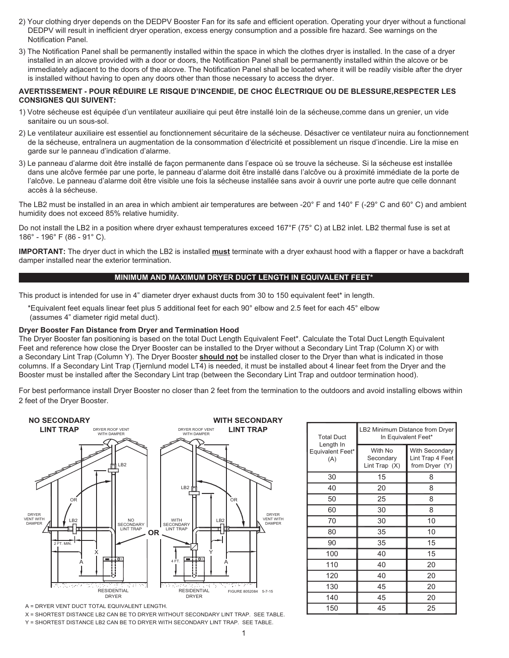- 2) Your clothing dryer depends on the DEDPV Booster Fan for its safe and efficient operation. Operating your dryer without a functional DEDPV will result in inefficient dryer operation, excess energy consumption and a possible fire hazard. See warnings on the Notification Panel.
- 3) The Notification Panel shall be permanently installed within the space in which the clothes dryer is installed. In the case of a dryer installed in an alcove provided with a door or doors, the Notification Panel shall be permanently installed within the alcove or be immediately adjacent to the doors of the alcove. The Notification Panel shall be located where it will be readily visible after the dryer is installed without having to open any doors other than those necessary to access the dryer.

### **AVERTISSEMENT - POUR RÉDUIRE LE RISQUE D'INCENDIE, DE CHOC ÉLECTRIQUE OU DE BLESSURE,RESPECTER LES CONSIGNES QUI SUIVENT:**

- 1) Votre sécheuse est équipée d'un ventilateur auxiliaire qui peut être installé loin de la sécheuse,comme dans un grenier, un vide sanitaire ou un sous-sol.
- 2) Le ventilateur auxiliaire est essentiel au fonctionnement sécuritaire de la sécheuse. Désactiver ce ventilateur nuira au fonctionnement de la sécheuse, entraînera un augmentation de la consommation d'électricité et possiblement un risque d'incendie. Lire la mise en garde sur le panneau d'indication d'alarme.
- 3) Le panneau d'alarme doit être installé de façon permanente dans l'espace où se trouve la sécheuse. Si la sécheuse est installée dans une alcôve fermée par une porte, le panneau d'alarme doit être installé dans l'alcôve ou à proximité immédiate de la porte de l'alcôve. Le panneau d'alarme doit être visible une fois la sécheuse installée sans avoir à ouvrir une porte autre que celle donnant accès à la sécheuse.

The LB2 must be installed in an area in which ambient air temperatures are between -20° F and 140° F (-29° C and 60° C) and ambient humidity does not exceed 85% relative humidity.

Do not install the LB2 in a position where dryer exhaust temperatures exceed 167°F (75° C) at LB2 inlet. LB2 thermal fuse is set at 186° - 196° F (86 - 91° C).

**IMPORTANT:** The dryer duct in which the LB2 is installed **must** terminate with a dryer exhaust hood with a flapper or have a backdraft damper installed near the exterior termination.

### **MINIMUM AND MAXIMUM DRYER DUCT LENGTH IN EQUIVALENT FEET\***

This product is intended for use in 4" diameter dryer exhaust ducts from 30 to 150 equivalent feet\* in length.

\*Equivalent feet equals linear feet plus 5 additional feet for each 90° elbow and 2.5 feet for each 45° elbow (assumes 4" diameter rigid metal duct).

#### **Dryer Booster Fan Distance from Dryer and Termination Hood**

The Dryer Booster fan positioning is based on the total Duct Length Equivalent Feet\*. Calculate the Total Duct Length Equivalent Feet and reference how close the Dryer Booster can be installed to the Dryer without a Secondary Lint Trap (Column X) or with a Secondary Lint Trap (Column Y). The Dryer Booster **should not** be installed closer to the Dryer than what is indicated in those columns. If a Secondary Lint Trap (Tjernlund model LT4) is needed, it must be installed about 4 linear feet from the Dryer and the Booster must be installed after the Secondary Lint trap (between the Secondary Lint Trap and outdoor termination hood).

For best performance install Dryer Booster no closer than 2 feet from the termination to the outdoors and avoid installing elbows within 2 feet of the Dryer Booster.



A = DRYER VENT DUCT TOTAL EQUIVALENT LENGTH.

X = SHORTEST DISTANCE LB2 CAN BE TO DRYER WITHOUT SECONDARY LINT TRAP. SEE TABLE.

Y = SHORTEST DISTANCE LB2 CAN BE TO DRYER WITH SECONDARY LINT TRAP. SEE TABLE.

| <b>Total Duct</b><br>Length In<br>Equivalent Feet*<br>(A) | LB2 Minimum Distance from Dryer<br>In Equivalent Feet* |                                                             |  |  |
|-----------------------------------------------------------|--------------------------------------------------------|-------------------------------------------------------------|--|--|
|                                                           | With No<br>Secondary<br>Lint Trap $(X)$                | <b>With Secondary</b><br>Lint Trap 4 Feet<br>from Dryer (Y) |  |  |
| 30                                                        | 15                                                     | 8                                                           |  |  |
| 40                                                        | 20                                                     | 8                                                           |  |  |
| 50                                                        | 25                                                     | 8                                                           |  |  |
| 60                                                        | 30                                                     | 8                                                           |  |  |
| 70                                                        | 30                                                     | 10                                                          |  |  |
| 80                                                        | 35                                                     | 10                                                          |  |  |
| 90                                                        | 35                                                     | 15                                                          |  |  |
| 100                                                       | 40                                                     | 15                                                          |  |  |
| 110                                                       | 40                                                     | 20                                                          |  |  |
| 120                                                       | 40                                                     | 20                                                          |  |  |
| 130                                                       | 45                                                     | 20                                                          |  |  |
| 140                                                       | 45                                                     | 20                                                          |  |  |
| 150                                                       | 45                                                     | 25                                                          |  |  |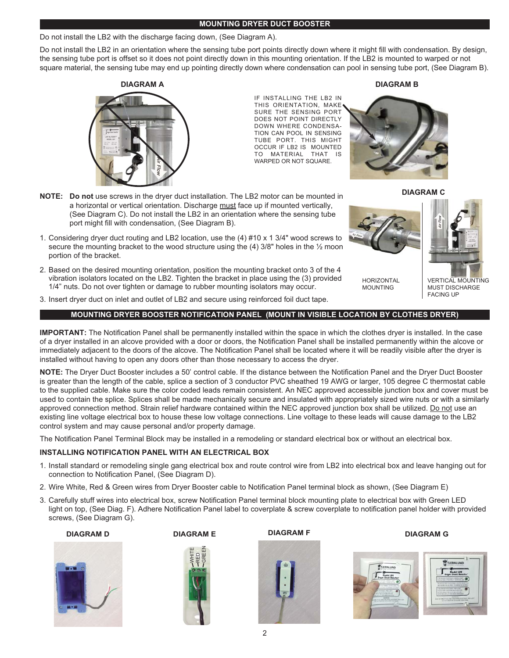### **MOUNTING DRYER DUCT BOOSTER**

### Do not install the LB2 with the discharge facing down, (See Diagram A).

Do not install the LB2 in an orientation where the sensing tube port points directly down where it might fill with condensation. By design, the sensing tube port is offset so it does not point directly down in this mounting orientation. If the LB2 is mounted to warped or not square material, the sensing tube may end up pointing directly down where condensation can pool in sensing tube port, (See Diagram B).





IF INSTALLING THE LB2 IN THIS ORIENTATION, MAKE SURE THE SENSING PORT DOES NOT POINT DIRECTLY DOWN WHERE CONDENSA-TION CAN POOL IN SENSING TUBE PORT. THIS MIGHT OCCUR IF LB2 IS MOUNTED TO MATERIAL THAT IS WARPED OR NOT SQUARE.



**DIAGRAM C**

**NOTE: Do not** use screws in the dryer duct installation. The LB2 motor can be mounted in a horizontal or vertical orientation. Discharge must face up if mounted vertically, (See Diagram C). Do not install the LB2 in an orientation where the sensing tube port might fill with condensation, (See Diagram B).

- 1. Considering dryer duct routing and LB2 location, use the (4) #10 x 1 3/4" wood screws to secure the mounting bracket to the wood structure using the (4) 3/8" holes in the 1/2 moon portion of the bracket.
- 2. Based on the desired mounting orientation, position the mounting bracket onto 3 of the 4 vibration isolators located on the LB2. Tighten the bracket in place using the (3) provided 1/4" nuts. Do not over tighten or damage to rubber mounting isolators may occur.



### **MOUNTING DRYER BOOSTER NOTIFICATION PANEL (MOUNT IN VISIBLE LOCATION BY CLOTHES DRYER)**

**IMPORTANT:** The Notification Panel shall be permanently installed within the space in which the clothes dryer is installed. In the case of a dryer installed in an alcove provided with a door or doors, the Notification Panel shall be installed permanently within the alcove or immediately adjacent to the doors of the alcove. The Notification Panel shall be located where it will be readily visible after the dryer is installed without having to open any doors other than those necessary to access the dryer.

**NOTE:** The Dryer Duct Booster includes a 50' control cable. If the distance between the Notification Panel and the Dryer Duct Booster is greater than the length of the cable, splice a section of 3 conductor PVC sheathed 19 AWG or larger, 105 degree C thermostat cable to the supplied cable. Make sure the color coded leads remain consistent. An NEC approved accessible junction box and cover must be used to contain the splice. Splices shall be made mechanically secure and insulated with appropriately sized wire nuts or with a similarly approved connection method. Strain relief hardware contained within the NEC approved junction box shall be utilized. Do not use an existing line voltage electrical box to house these low voltage connections. Line voltage to these leads will cause damage to the LB2 control system and may cause personal and/or property damage.

The Notification Panel Terminal Block may be installed in a remodeling or standard electrical box or without an electrical box.

### **INSTALLING NOTIFICATION PANEL WITH AN ELECTRICAL BOX**

- 1. Install standard or remodeling single gang electrical box and route control wire from LB2 into electrical box and leave hanging out for connection to Notification Panel, (See Diagram D).
- 2. Wire White, Red & Green wires from Dryer Booster cable to Notification Panel terminal block as shown, (See Diagram E)
- 3. Carefully stuff wires into electrical box, screw Notification Panel terminal block mounting plate to electrical box with Green LED light on top, (See Diag. F). Adhere Notification Panel label to coverplate & screw coverplate to notification panel holder with provided screws, (See Diagram G).









**DIAGRAM G**



**DIAGRAM B**



HORIZONTAL MOUNTING

VERTICAL MOUNTING MUST DISCHARGE FACING UP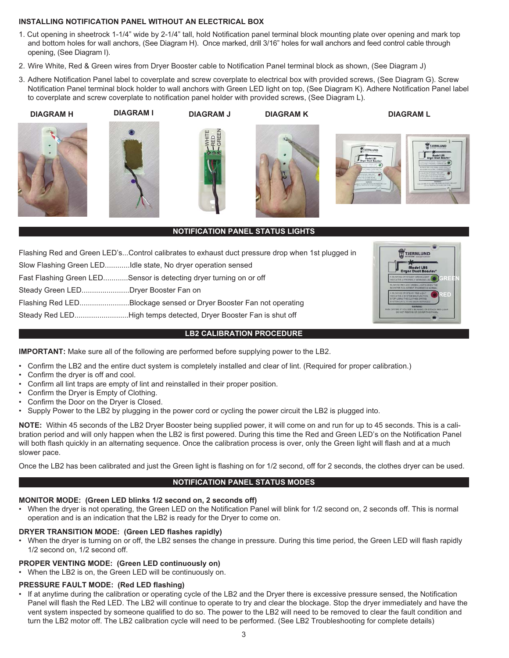### **INSTALLING NOTIFICATION PANEL WITHOUT AN ELECTRICAL BOX**

- 1. Cut opening in sheetrock 1-1/4" wide by 2-1/4" tall, hold Notification panel terminal block mounting plate over opening and mark top and bottom holes for wall anchors, (See Diagram H). Once marked, drill 3/16" holes for wall anchors and feed control cable through opening, (See Diagram I).
- 2. Wire White, Red & Green wires from Dryer Booster cable to Notification Panel terminal block as shown, (See Diagram J)
- 3. Adhere Notification Panel label to coverplate and screw coverplate to electrical box with provided screws, (See Diagram G). Screw Notification Panel terminal block holder to wall anchors with Green LED light on top, (See Diagram K). Adhere Notification Panel label to coverplate and screw coverplate to notification panel holder with provided screws, (See Diagram L).











**NOTIFICATION PANEL STATUS LIGHTS**

TTJERNLUND **GREEN RED**

**DIAGRAM L**

**TT TJERNLUN** 

Flashing Red and Green LED's...Control calibrates to exhaust duct pressure drop when 1st plugged in

Slow Flashing Green LED............Idle state, No dryer operation sensed

Fast Flashing Green LED............Sensor is detecting dryer turning on or off

Steady Green LED.......................Dryer Booster Fan on

Flashing Red LED........................Blockage sensed or Dryer Booster Fan not operating

Steady Red LED..........................High temps detected, Dryer Booster Fan is shut off

### **LB2 CALIBRATION PROCEDURE**

**IMPORTANT:** Make sure all of the following are performed before supplying power to the LB2.

- Confirm the LB2 and the entire duct system is completely installed and clear of lint. (Required for proper calibration.)
- Confirm the dryer is off and cool.
- Confirm all lint traps are empty of lint and reinstalled in their proper position.
- Confirm the Dryer is Empty of Clothing.
- Confirm the Door on the Dryer is Closed.
- Supply Power to the LB2 by plugging in the power cord or cycling the power circuit the LB2 is plugged into.

**NOTE:** Within 45 seconds of the LB2 Dryer Booster being supplied power, it will come on and run for up to 45 seconds. This is a calibration period and will only happen when the LB2 is first powered. During this time the Red and Green LED's on the Notification Panel will both flash quickly in an alternating sequence. Once the calibration process is over, only the Green light will flash and at a much slower pace.

Once the LB2 has been calibrated and just the Green light is flashing on for 1/2 second, off for 2 seconds, the clothes dryer can be used.

### **NOTIFICATION PANEL STATUS MODES**

# **MONITOR MODE: (Green LED blinks 1/2 second on, 2 seconds off)**

• When the dryer is not operating, the Green LED on the Notification Panel will blink for 1/2 second on, 2 seconds off. This is normal operation and is an indication that the LB2 is ready for the Dryer to come on.

## **DRYER TRANSITION MODE: (Green LED flashes rapidly)**

- When the dryer is turning on or off, the LB2 senses the change in pressure. During this time period, the Green LED will flash rapidly 1/2 second on, 1/2 second off.
- **PROPER VENTING MODE: (Green LED continuously on)**
- When the LB2 is on, the Green LED will be continuously on.

## **PRESSURE FAULT MODE: (Red LED flashing)**

• If at anytime during the calibration or operating cycle of the LB2 and the Dryer there is excessive pressure sensed, the Notification Panel will flash the Red LED. The LB2 will continue to operate to try and clear the blockage. Stop the dryer immediately and have the vent system inspected by someone qualified to do so. The power to the LB2 will need to be removed to clear the fault condition and turn the LB2 motor off. The LB2 calibration cycle will need to be performed. (See LB2 Troubleshooting for complete details)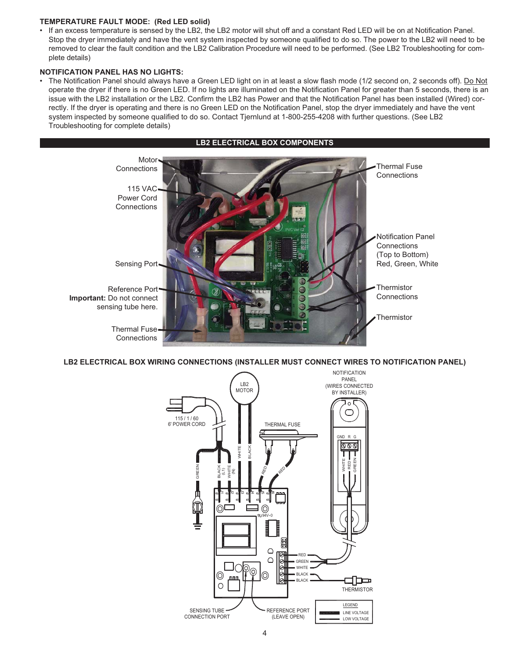### **TEMPERATURE FAULT MODE: (Red LED solid)**

• If an excess temperature is sensed by the LB2, the LB2 motor will shut off and a constant Red LED will be on at Notification Panel. Stop the dryer immediately and have the vent system inspected by someone qualified to do so. The power to the LB2 will need to be removed to clear the fault condition and the LB2 Calibration Procedure will need to be performed. (See LB2 Troubleshooting for complete details)

### **NOTIFICATION PANEL HAS NO LIGHTS:**

• The Notification Panel should always have a Green LED light on in at least a slow flash mode (1/2 second on, 2 seconds off). Do Not operate the dryer if there is no Green LED. If no lights are illuminated on the Notification Panel for greater than 5 seconds, there is an issue with the LB2 installation or the LB2. Confirm the LB2 has Power and that the Notification Panel has been installed (Wired) correctly. If the dryer is operating and there is no Green LED on the Notification Panel, stop the dryer immediately and have the vent system inspected by someone qualified to do so. Contact Tjernlund at 1-800-255-4208 with further questions. (See LB2 Troubleshooting for complete details)



**LB2 ELECTRICAL BOX WIRING CONNECTIONS (INSTALLER MUST CONNECT WIRES TO NOTIFICATION PANEL)**

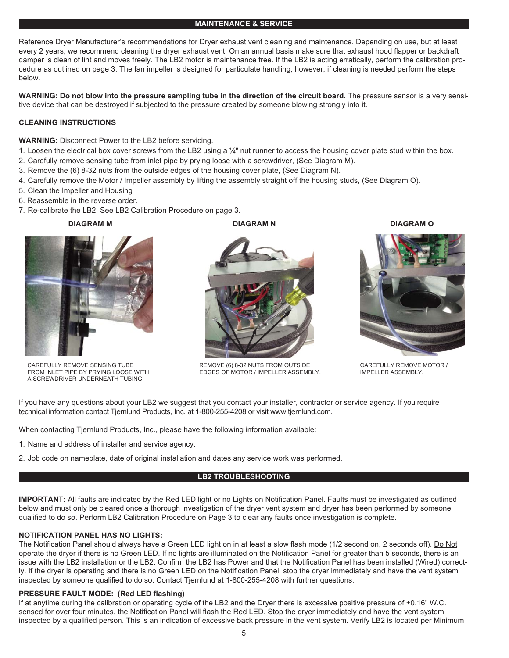### **MAINTENANCE & SERVICE**

Reference Dryer Manufacturer's recommendations for Dryer exhaust vent cleaning and maintenance. Depending on use, but at least every 2 years, we recommend cleaning the dryer exhaust vent. On an annual basis make sure that exhaust hood flapper or backdraft damper is clean of lint and moves freely. The LB2 motor is maintenance free. If the LB2 is acting erratically, perform the calibration procedure as outlined on page 3. The fan impeller is designed for particulate handling, however, if cleaning is needed perform the steps below.

**WARNING: Do not blow into the pressure sampling tube in the direction of the circuit board.** The pressure sensor is a very sensitive device that can be destroyed if subjected to the pressure created by someone blowing strongly into it.

### **CLEANING INSTRUCTIONS**

### **WARNING:** Disconnect Power to the LB2 before servicing.

- 1. Loosen the electrical box cover screws from the LB2 using a  $\frac{1}{4}$ " nut runner to access the housing cover plate stud within the box.
- 2. Carefully remove sensing tube from inlet pipe by prying loose with a screwdriver, (See Diagram M).
- 3. Remove the (6) 8-32 nuts from the outside edges of the housing cover plate, (See Diagram N).
- 4. Carefully remove the Motor / Impeller assembly by lifting the assembly straight off the housing studs, (See Diagram O).
- 5. Clean the Impeller and Housing
- 6. Reassemble in the reverse order.
- 7. Re-calibrate the LB2. See LB2 Calibration Procedure on page 3.



CAREFULLY REMOVE SENSING TUBE FROM INLET PIPE BY PRYING LOOSE WITH A SCREWDRIVER UNDERNEATH TUBING.



REMOVE (6) 8-32 NUTS FROM OUTSIDE EDGES OF MOTOR / IMPELLER ASSEMBLY.



CAREFULLY REMOVE MOTOR / IMPELLER ASSEMBLY.

If you have any questions about your LB2 we suggest that you contact your installer, contractor or service agency. If you require technical information contact Tjernlund Products, Inc. at 1-800-255-4208 or visit www.tjernlund.com.

When contacting Tjernlund Products, Inc., please have the following information available:

- 1. Name and address of installer and service agency.
- 2. Job code on nameplate, date of original installation and dates any service work was performed.

### **LB2 TROUBLESHOOTING**

**IMPORTANT:** All faults are indicated by the Red LED light or no Lights on Notification Panel. Faults must be investigated as outlined below and must only be cleared once a thorough investigation of the dryer vent system and dryer has been performed by someone qualified to do so. Perform LB2 Calibration Procedure on Page 3 to clear any faults once investigation is complete.

### **NOTIFICATION PANEL HAS NO LIGHTS:**

The Notification Panel should always have a Green LED light on in at least a slow flash mode (1/2 second on, 2 seconds off). Do Not operate the dryer if there is no Green LED. If no lights are illuminated on the Notification Panel for greater than 5 seconds, there is an issue with the LB2 installation or the LB2. Confirm the LB2 has Power and that the Notification Panel has been installed (Wired) correctly. If the dryer is operating and there is no Green LED on the Notification Panel, stop the dryer immediately and have the vent system inspected by someone qualified to do so. Contact Tjernlund at 1-800-255-4208 with further questions.

### **PRESSURE FAULT MODE: (Red LED flashing)**

If at anytime during the calibration or operating cycle of the LB2 and the Dryer there is excessive positive pressure of +0.16" W.C. sensed for over four minutes, the Notification Panel will flash the Red LED. Stop the dryer immediately and have the vent system inspected by a qualified person. This is an indication of excessive back pressure in the vent system. Verify LB2 is located per Minimum